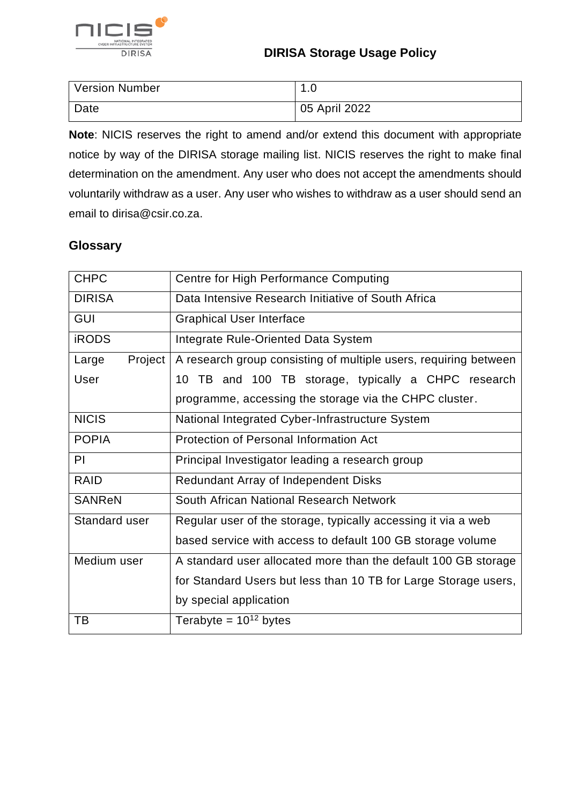

| Version Number | $\overline{\phantom{a}}$<br>ں. ا |
|----------------|----------------------------------|
| Date           | 05 April 2022                    |

**Note**: NICIS reserves the right to amend and/or extend this document with appropriate notice by way of the DIRISA storage mailing list. NICIS reserves the right to make final determination on the amendment. Any user who does not accept the amendments should voluntarily withdraw as a user. Any user who wishes to withdraw as a user should send an email to dirisa@csir.co.za.

### **Glossary**

| <b>CHPC</b>        | Centre for High Performance Computing                            |  |
|--------------------|------------------------------------------------------------------|--|
| <b>DIRISA</b>      | Data Intensive Research Initiative of South Africa               |  |
| <b>GUI</b>         | <b>Graphical User Interface</b>                                  |  |
| <b>iRODS</b>       | Integrate Rule-Oriented Data System                              |  |
| Project  <br>Large | A research group consisting of multiple users, requiring between |  |
| User               | 10 TB and 100 TB storage, typically a CHPC research              |  |
|                    | programme, accessing the storage via the CHPC cluster.           |  |
| <b>NICIS</b>       | National Integrated Cyber-Infrastructure System                  |  |
| <b>POPIA</b>       | <b>Protection of Personal Information Act</b>                    |  |
| PI                 | Principal Investigator leading a research group                  |  |
| <b>RAID</b>        | Redundant Array of Independent Disks                             |  |
| <b>SANReN</b>      | South African National Research Network                          |  |
| Standard user      | Regular user of the storage, typically accessing it via a web    |  |
|                    | based service with access to default 100 GB storage volume       |  |
| Medium user        | A standard user allocated more than the default 100 GB storage   |  |
|                    | for Standard Users but less than 10 TB for Large Storage users,  |  |
|                    | by special application                                           |  |
| ТB                 | Terabyte = $10^{12}$ bytes                                       |  |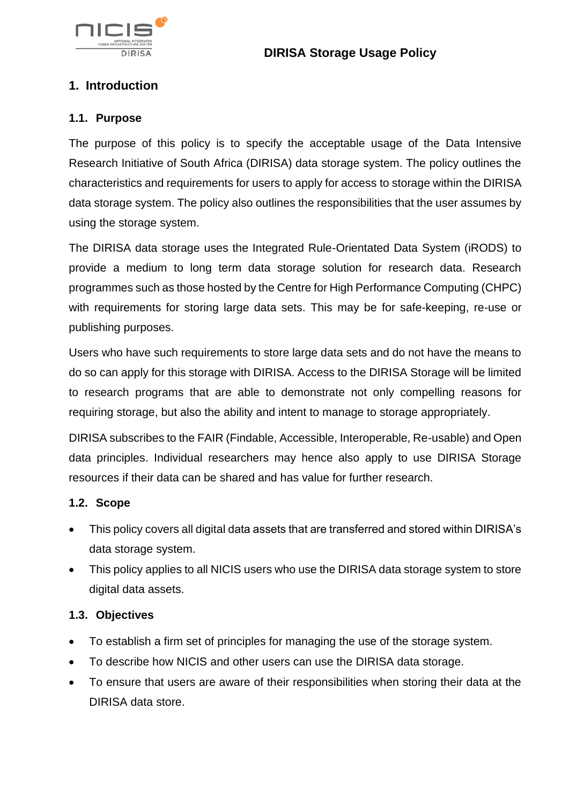

# **1. Introduction**

#### **1.1. Purpose**

The purpose of this policy is to specify the acceptable usage of the Data Intensive Research Initiative of South Africa (DIRISA) data storage system. The policy outlines the characteristics and requirements for users to apply for access to storage within the DIRISA data storage system. The policy also outlines the responsibilities that the user assumes by using the storage system.

The DIRISA data storage uses the Integrated Rule-Orientated Data System (iRODS) to provide a medium to long term data storage solution for research data. Research programmes such as those hosted by the Centre for High Performance Computing (CHPC) with requirements for storing large data sets. This may be for safe-keeping, re-use or publishing purposes.

Users who have such requirements to store large data sets and do not have the means to do so can apply for this storage with DIRISA. Access to the DIRISA Storage will be limited to research programs that are able to demonstrate not only compelling reasons for requiring storage, but also the ability and intent to manage to storage appropriately.

DIRISA subscribes to the FAIR (Findable, Accessible, Interoperable, Re-usable) and Open data principles. Individual researchers may hence also apply to use DIRISA Storage resources if their data can be shared and has value for further research.

### **1.2. Scope**

- This policy covers all digital data assets that are transferred and stored within DIRISA's data storage system.
- This policy applies to all NICIS users who use the DIRISA data storage system to store digital data assets.

### **1.3. Objectives**

- To establish a firm set of principles for managing the use of the storage system.
- To describe how NICIS and other users can use the DIRISA data storage.
- To ensure that users are aware of their responsibilities when storing their data at the DIRISA data store.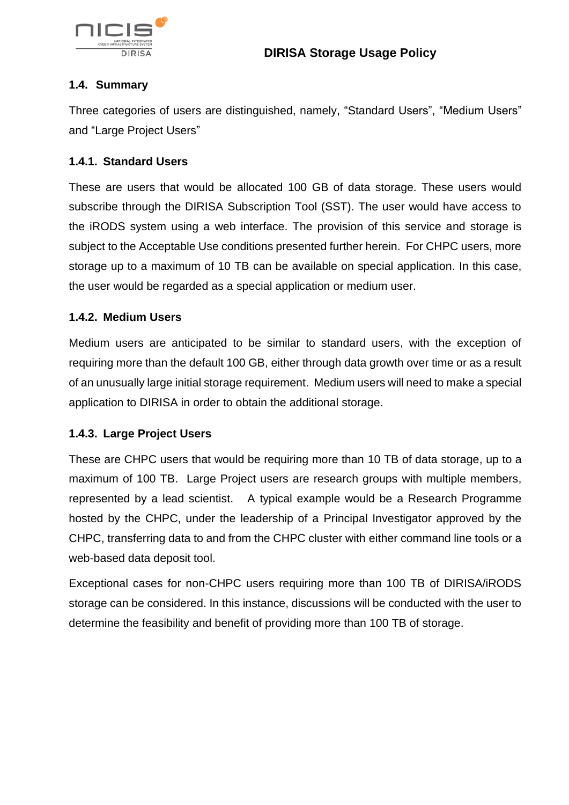

### **1.4. Summary**

Three categories of users are distinguished, namely, "Standard Users", "Medium Users" and "Large Project Users"

### **1.4.1. Standard Users**

These are users that would be allocated 100 GB of data storage. These users would subscribe through the DIRISA Subscription Tool (SST). The user would have access to the iRODS system using a web interface. The provision of this service and storage is subject to the Acceptable Use conditions presented further herein. For CHPC users, more storage up to a maximum of 10 TB can be available on special application. In this case, the user would be regarded as a special application or medium user.

### **1.4.2. Medium Users**

Medium users are anticipated to be similar to standard users, with the exception of requiring more than the default 100 GB, either through data growth over time or as a result of an unusually large initial storage requirement. Medium users will need to make a special application to DIRISA in order to obtain the additional storage.

### **1.4.3. Large Project Users**

These are CHPC users that would be requiring more than 10 TB of data storage, up to a maximum of 100 TB. Large Project users are research groups with multiple members, represented by a lead scientist. A typical example would be a Research Programme hosted by the CHPC, under the leadership of a Principal Investigator approved by the CHPC, transferring data to and from the CHPC cluster with either command line tools or a web-based data deposit tool.

Exceptional cases for non-CHPC users requiring more than 100 TB of DIRISA/iRODS storage can be considered. In this instance, discussions will be conducted with the user to determine the feasibility and benefit of providing more than 100 TB of storage.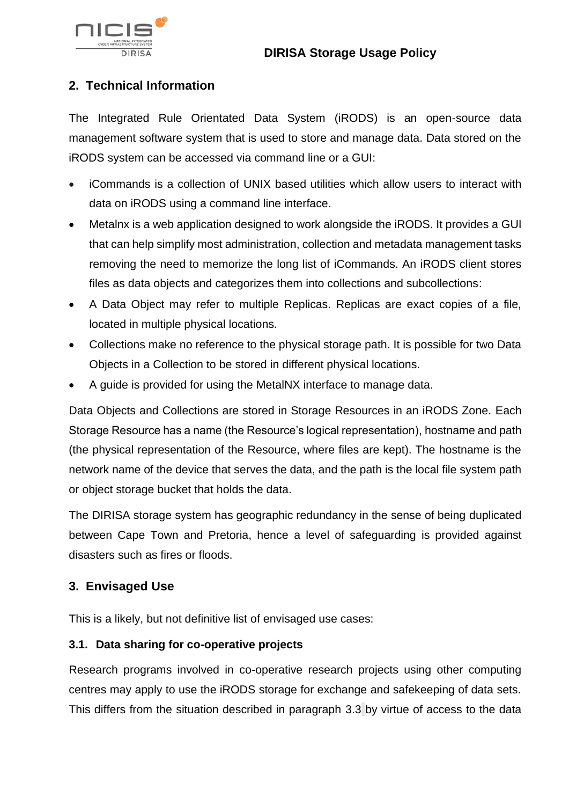

# **2. Technical Information**

The Integrated Rule Orientated Data System (iRODS) is an open-source data management software system that is used to store and manage data. Data stored on the iRODS system can be accessed via command line or a GUI:

- iCommands is a collection of UNIX based utilities which allow users to interact with data on iRODS using a command line interface.
- Metalnx is a web application designed to work alongside the iRODS. It provides a GUI that can help simplify most administration, collection and metadata management tasks removing the need to memorize the long list of iCommands. An iRODS client stores files as data objects and categorizes them into collections and subcollections:
- A Data Object may refer to multiple Replicas. Replicas are exact copies of a file, located in multiple physical locations.
- Collections make no reference to the physical storage path. It is possible for two Data Objects in a Collection to be stored in different physical locations.
- A guide is provided for using the MetalNX interface to manage data.

Data Objects and Collections are stored in Storage Resources in an iRODS Zone. Each Storage Resource has a name (the Resource's logical representation), hostname and path (the physical representation of the Resource, where files are kept). The hostname is the network name of the device that serves the data, and the path is the local file system path or object storage bucket that holds the data.

The DIRISA storage system has geographic redundancy in the sense of being duplicated between Cape Town and Pretoria, hence a level of safeguarding is provided against disasters such as fires or floods.

### **3. Envisaged Use**

This is a likely, but not definitive list of envisaged use cases:

### **3.1. Data sharing for co-operative projects**

Research programs involved in co-operative research projects using other computing centres may apply to use the iRODS storage for exchange and safekeeping of data sets. This differs from the situation described in paragraph [3.3](#page-4-0) by virtue of access to the data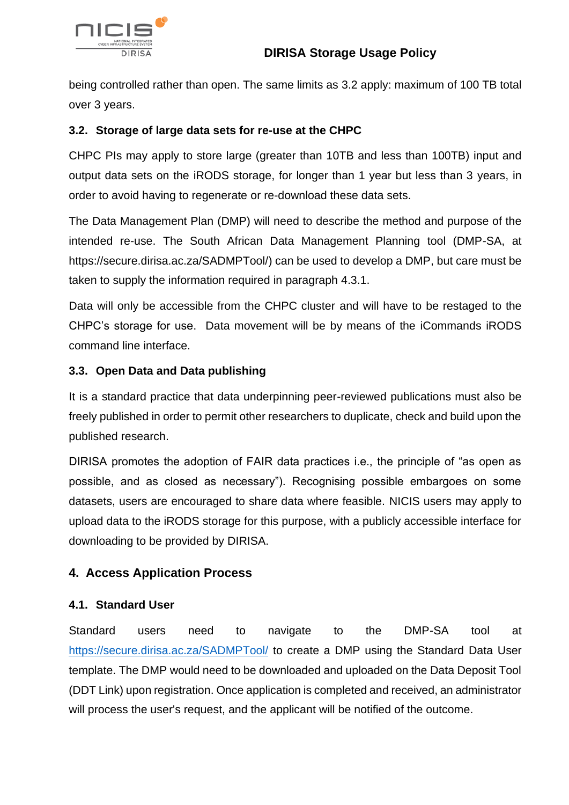

being controlled rather than open. The same limits as [3.2](#page-4-1) apply: maximum of 100 TB total over 3 years.

### <span id="page-4-1"></span>**3.2. Storage of large data sets for re-use at the CHPC**

CHPC PIs may apply to store large (greater than 10TB and less than 100TB) input and output data sets on the iRODS storage, for longer than 1 year but less than 3 years, in order to avoid having to regenerate or re-download these data sets.

The Data Management Plan (DMP) will need to describe the method and purpose of the intended re-use. The South African Data Management Planning tool (DMP-SA, at [https://secure.dirisa.ac.za/SADMPTool/\)](https://secure.dirisa.ac.za/SADMPTool/) can be used to develop a DMP, but care must be taken to supply the information required in paragraph [4.3.1.](#page-5-0)

Data will only be accessible from the CHPC cluster and will have to be restaged to the CHPC's storage for use. Data movement will be by means of the iCommands iRODS command line interface.

### <span id="page-4-0"></span>**3.3. Open Data and Data publishing**

It is a standard practice that data underpinning peer-reviewed publications must also be freely published in order to permit other researchers to duplicate, check and build upon the published research.

DIRISA promotes the adoption of FAIR data practices i.e., the principle of "as open as possible, and as closed as necessary"). Recognising possible embargoes on some datasets, users are encouraged to share data where feasible. NICIS users may apply to upload data to the iRODS storage for this purpose, with a publicly accessible interface for downloading to be provided by DIRISA.

### **4. Access Application Process**

### **4.1. Standard User**

Standard users need to navigate to the DMP-SA tool at <https://secure.dirisa.ac.za/SADMPTool/> to create a DMP using the Standard Data User template. The DMP would need to be downloaded and uploaded on the Data Deposit Tool (DDT Link) upon registration. Once application is completed and received, an administrator will process the user's request, and the applicant will be notified of the outcome.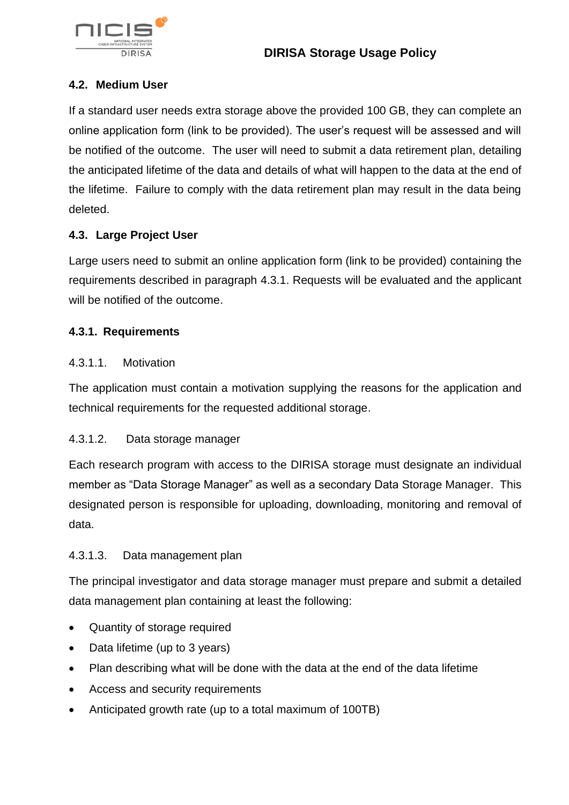

### **4.2. Medium User**

If a standard user needs extra storage above the provided 100 GB, they can complete an online application form (link to be provided). The user's request will be assessed and will be notified of the outcome. The user will need to submit a data retirement plan, detailing the anticipated lifetime of the data and details of what will happen to the data at the end of the lifetime. Failure to comply with the data retirement plan may result in the data being deleted.

### **4.3. Large Project User**

Large users need to submit an online application form (link to be provided) containing the requirements described in paragraph [4.3.1.](#page-5-0) Requests will be evaluated and the applicant will be notified of the outcome.

#### <span id="page-5-0"></span>**4.3.1. Requirements**

#### 4.3.1.1. Motivation

The application must contain a motivation supplying the reasons for the application and technical requirements for the requested additional storage.

### 4.3.1.2. Data storage manager

Each research program with access to the DIRISA storage must designate an individual member as "Data Storage Manager" as well as a secondary Data Storage Manager. This designated person is responsible for uploading, downloading, monitoring and removal of data.

### 4.3.1.3. Data management plan

The principal investigator and data storage manager must prepare and submit a detailed data management plan containing at least the following:

- Quantity of storage required
- Data lifetime (up to 3 years)
- Plan describing what will be done with the data at the end of the data lifetime
- Access and security requirements
- Anticipated growth rate (up to a total maximum of 100TB)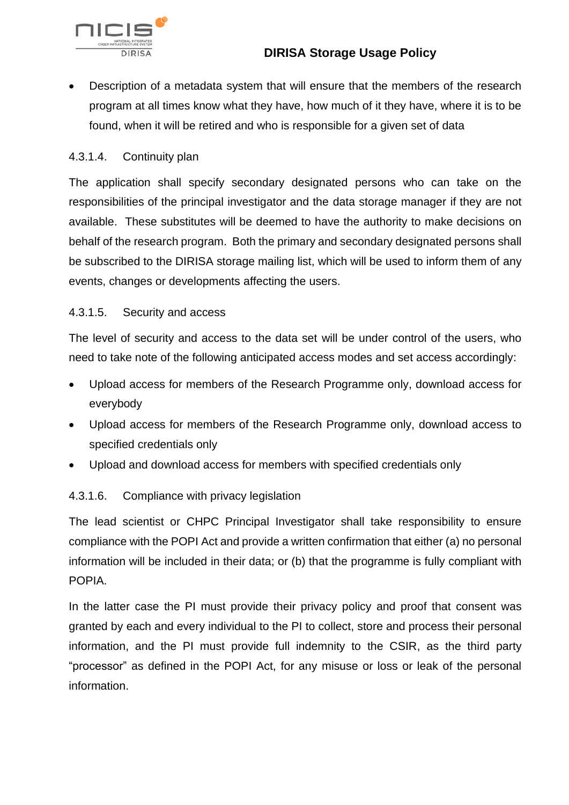

• Description of a metadata system that will ensure that the members of the research program at all times know what they have, how much of it they have, where it is to be found, when it will be retired and who is responsible for a given set of data

#### 4.3.1.4. Continuity plan

The application shall specify secondary designated persons who can take on the responsibilities of the principal investigator and the data storage manager if they are not available. These substitutes will be deemed to have the authority to make decisions on behalf of the research program. Both the primary and secondary designated persons shall be subscribed to the DIRISA storage mailing list, which will be used to inform them of any events, changes or developments affecting the users.

### 4.3.1.5. Security and access

The level of security and access to the data set will be under control of the users, who need to take note of the following anticipated access modes and set access accordingly:

- Upload access for members of the Research Programme only, download access for everybody
- Upload access for members of the Research Programme only, download access to specified credentials only
- Upload and download access for members with specified credentials only

#### 4.3.1.6. Compliance with privacy legislation

The lead scientist or CHPC Principal Investigator shall take responsibility to ensure compliance with the POPI Act and provide a written confirmation that either (a) no personal information will be included in their data; or (b) that the programme is fully compliant with POPIA.

In the latter case the PI must provide their privacy policy and proof that consent was granted by each and every individual to the PI to collect, store and process their personal information, and the PI must provide full indemnity to the CSIR, as the third party "processor" as defined in the POPI Act, for any misuse or loss or leak of the personal information.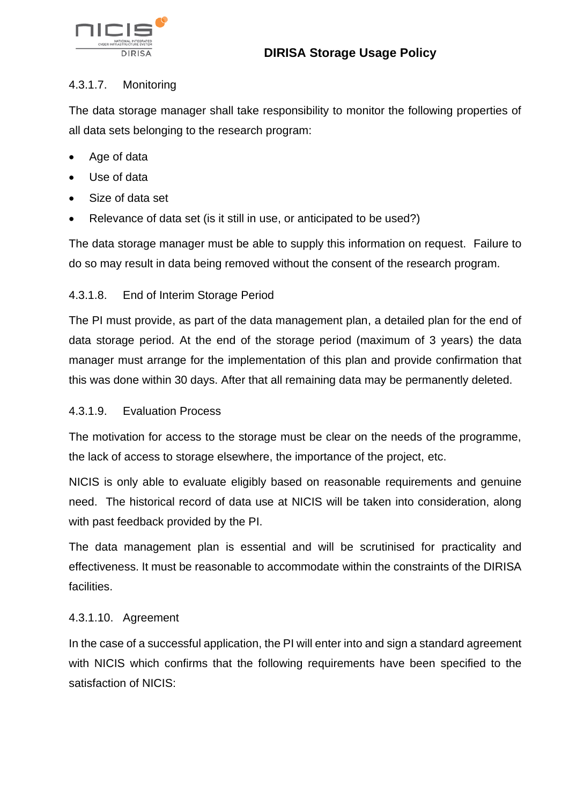

### 4.3.1.7. Monitoring

The data storage manager shall take responsibility to monitor the following properties of all data sets belonging to the research program:

- Age of data
- Use of data
- Size of data set
- Relevance of data set (is it still in use, or anticipated to be used?)

The data storage manager must be able to supply this information on request. Failure to do so may result in data being removed without the consent of the research program.

### 4.3.1.8. End of Interim Storage Period

The PI must provide, as part of the data management plan, a detailed plan for the end of data storage period. At the end of the storage period (maximum of 3 years) the data manager must arrange for the implementation of this plan and provide confirmation that this was done within 30 days. After that all remaining data may be permanently deleted.

### 4.3.1.9. Evaluation Process

The motivation for access to the storage must be clear on the needs of the programme, the lack of access to storage elsewhere, the importance of the project, etc.

NICIS is only able to evaluate eligibly based on reasonable requirements and genuine need. The historical record of data use at NICIS will be taken into consideration, along with past feedback provided by the PI.

The data management plan is essential and will be scrutinised for practicality and effectiveness. It must be reasonable to accommodate within the constraints of the DIRISA facilities.

### 4.3.1.10. Agreement

In the case of a successful application, the PI will enter into and sign a standard agreement with NICIS which confirms that the following requirements have been specified to the satisfaction of NICIS: